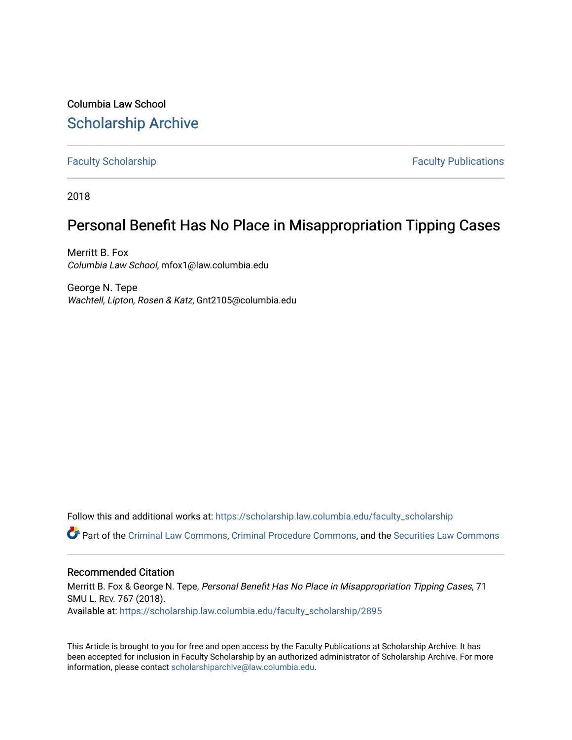Columbia Law School [Scholarship Archive](https://scholarship.law.columbia.edu/) 

[Faculty Scholarship](https://scholarship.law.columbia.edu/faculty_scholarship) **Faculty Scholarship Faculty Publications** 

2018

## Personal Benefit Has No Place in Misappropriation Tipping Cases

Merritt B. Fox Columbia Law School, mfox1@law.columbia.edu

George N. Tepe Wachtell, Lipton, Rosen & Katz, Gnt2105@columbia.edu

Follow this and additional works at: [https://scholarship.law.columbia.edu/faculty\\_scholarship](https://scholarship.law.columbia.edu/faculty_scholarship?utm_source=scholarship.law.columbia.edu%2Ffaculty_scholarship%2F2895&utm_medium=PDF&utm_campaign=PDFCoverPages)

Part of the [Criminal Law Commons,](http://network.bepress.com/hgg/discipline/912?utm_source=scholarship.law.columbia.edu%2Ffaculty_scholarship%2F2895&utm_medium=PDF&utm_campaign=PDFCoverPages) [Criminal Procedure Commons,](http://network.bepress.com/hgg/discipline/1073?utm_source=scholarship.law.columbia.edu%2Ffaculty_scholarship%2F2895&utm_medium=PDF&utm_campaign=PDFCoverPages) and the [Securities Law Commons](http://network.bepress.com/hgg/discipline/619?utm_source=scholarship.law.columbia.edu%2Ffaculty_scholarship%2F2895&utm_medium=PDF&utm_campaign=PDFCoverPages) 

## Recommended Citation

Merritt B. Fox & George N. Tepe, Personal Benefit Has No Place in Misappropriation Tipping Cases, 71 SMU L. REV. 767 (2018). Available at: [https://scholarship.law.columbia.edu/faculty\\_scholarship/2895](https://scholarship.law.columbia.edu/faculty_scholarship/2895?utm_source=scholarship.law.columbia.edu%2Ffaculty_scholarship%2F2895&utm_medium=PDF&utm_campaign=PDFCoverPages)

This Article is brought to you for free and open access by the Faculty Publications at Scholarship Archive. It has been accepted for inclusion in Faculty Scholarship by an authorized administrator of Scholarship Archive. For more information, please contact [scholarshiparchive@law.columbia.edu.](mailto:scholarshiparchive@law.columbia.edu)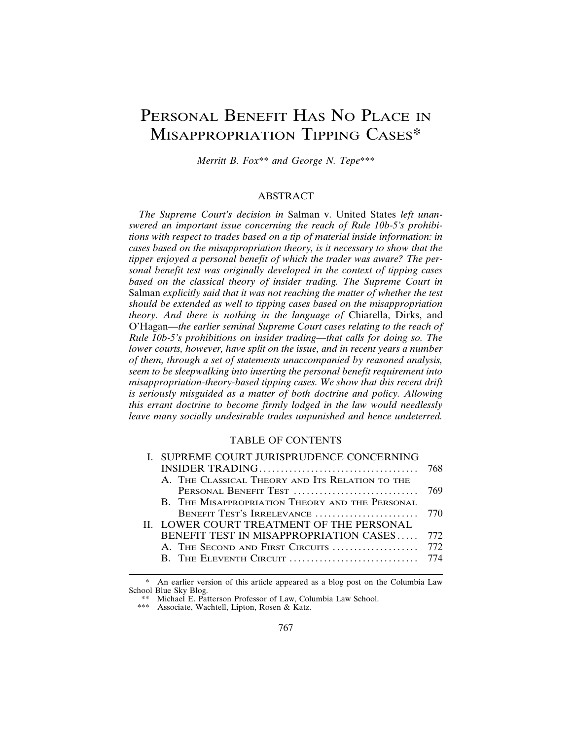# PERSONAL BENEFIT HAS NO PLACE IN MISAPPROPRIATION TIPPING CASES\*

*Merritt B. Fox*\*\* *and George N. Tepe*\*\*\*

#### ABSTRACT

*The Supreme Court's decision in* Salman v. United States *left unanswered an important issue concerning the reach of Rule 10b-5's prohibitions with respect to trades based on a tip of material inside information: in cases based on the misappropriation theory, is it necessary to show that the tipper enjoyed a personal benefit of which the trader was aware? The personal benefit test was originally developed in the context of tipping cases based on the classical theory of insider trading. The Supreme Court in* Salman *explicitly said that it was not reaching the matter of whether the test should be extended as well to tipping cases based on the misappropriation theory. And there is nothing in the language of* Chiarella, Dirks, and O'Hagan*—the earlier seminal Supreme Court cases relating to the reach of Rule 10b-5's prohibitions on insider trading—that calls for doing so. The lower courts, however, have split on the issue, and in recent years a number of them, through a set of statements unaccompanied by reasoned analysis, seem to be sleepwalking into inserting the personal benefit requirement into misappropriation-theory-based tipping cases. We show that this recent drift is seriously misguided as a matter of both doctrine and policy. Allowing this errant doctrine to become firmly lodged in the law would needlessly leave many socially undesirable trades unpunished and hence undeterred.*

#### TABLE OF CONTENTS

| I. SUPREME COURT JURISPRUDENCE CONCERNING       |      |
|-------------------------------------------------|------|
|                                                 | 768  |
| A. THE CLASSICAL THEORY AND ITS RELATION TO THE |      |
|                                                 |      |
| B. THE MISAPPROPRIATION THEORY AND THE PERSONAL |      |
| BENEFIT TEST'S IRRELEVANCE                      | 770  |
| II. LOWER COURT TREATMENT OF THE PERSONAL       |      |
| BENEFIT TEST IN MISAPPROPRIATION CASES          | 772. |
|                                                 |      |
|                                                 |      |
|                                                 |      |

An earlier version of this article appeared as a blog post on the Columbia Law School Blue Sky Blog.

<sup>\*\*</sup> Michael E. Patterson Professor of Law, Columbia Law School.

<sup>\*\*\*</sup> Associate, Wachtell, Lipton, Rosen & Katz.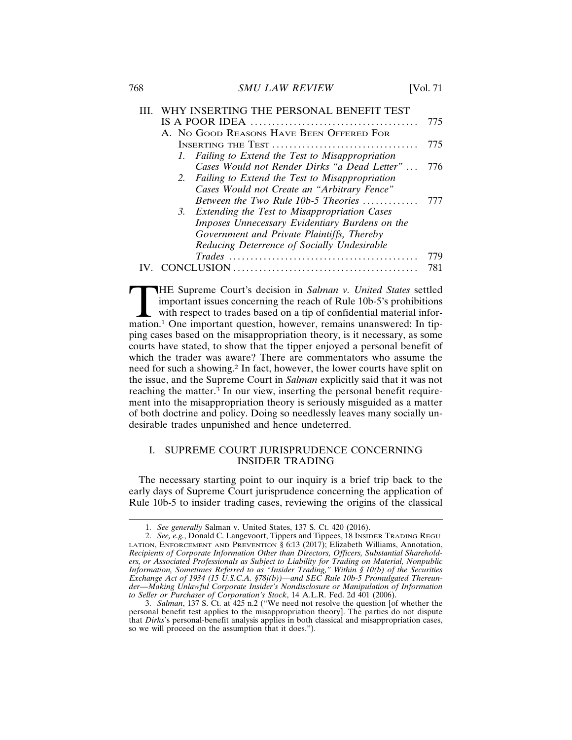768 *SMU LAW REVIEW* [Vol. 71

| 775                                                 |
|-----------------------------------------------------|
|                                                     |
| A. No GOOD REASONS HAVE BEEN OFFERED FOR            |
| 775                                                 |
| 1. Failing to Extend the Test to Misappropriation   |
| Cases Would not Render Dirks "a Dead Letter"<br>776 |
| 2. Failing to Extend the Test to Misappropriation   |
| Cases Would not Create an "Arbitrary Fence"         |
| Between the Two Rule 10b-5 Theories<br>777          |
| 3. Extending the Test to Misappropriation Cases     |
| Imposes Unnecessary Evidentiary Burdens on the      |
| Government and Private Plaintiffs, Thereby          |
| Reducing Deterrence of Socially Undesirable         |
| 779                                                 |
| NCLUSION<br>781                                     |

THE Supreme Court's decision in *Salman v. United States* settled important issues concerning the reach of Rule 10b-5's prohibitions with respect to trades based on a tip of confidential material information.<sup>1</sup> One import important issues concerning the reach of Rule 10b-5's prohibitions with respect to trades based on a tip of confidential material inforping cases based on the misappropriation theory, is it necessary, as some courts have stated, to show that the tipper enjoyed a personal benefit of which the trader was aware? There are commentators who assume the need for such a showing.2 In fact, however, the lower courts have split on the issue, and the Supreme Court in *Salman* explicitly said that it was not reaching the matter. $\frac{3}{3}$  In our view, inserting the personal benefit requirement into the misappropriation theory is seriously misguided as a matter of both doctrine and policy. Doing so needlessly leaves many socially undesirable trades unpunished and hence undeterred.

## I. SUPREME COURT JURISPRUDENCE CONCERNING INSIDER TRADING

The necessary starting point to our inquiry is a brief trip back to the early days of Supreme Court jurisprudence concerning the application of Rule 10b-5 to insider trading cases, reviewing the origins of the classical

<sup>1.</sup> *See generally* Salman v. United States, 137 S. Ct. 420 (2016).

<sup>2.</sup> *See, e.g.*, Donald C. Langevoort, Tippers and Tippees, 18 INSIDER TRADING REGU-LATION, ENFORCEMENT AND PREVENTION § 6:13 (2017); Elizabeth Williams, Annotation, *Recipients of Corporate Information Other than Directors, Officers, Substantial Shareholders, or Associated Professionals as Subject to Liability for Trading on Material, Nonpublic Information, Sometimes Referred to as "Insider Trading," Within § 10(b) of the Securities Exchange Act of 1934 (15 U.S.C.A. §78j(b))—and SEC Rule 10b-5 Promulgated Thereunder—Making Unlawful Corporate Insider's Nondisclosure or Manipulation of Information to Seller or Purchaser of Corporation's Stock*, 14 A.L.R. Fed. 2d 401 (2006).

<sup>3.</sup> *Salman*, 137 S. Ct. at 425 n.2 ("We need not resolve the question [of whether the personal benefit test applies to the misappropriation theory]. The parties do not dispute that *Dirks*'s personal-benefit analysis applies in both classical and misappropriation cases, so we will proceed on the assumption that it does.").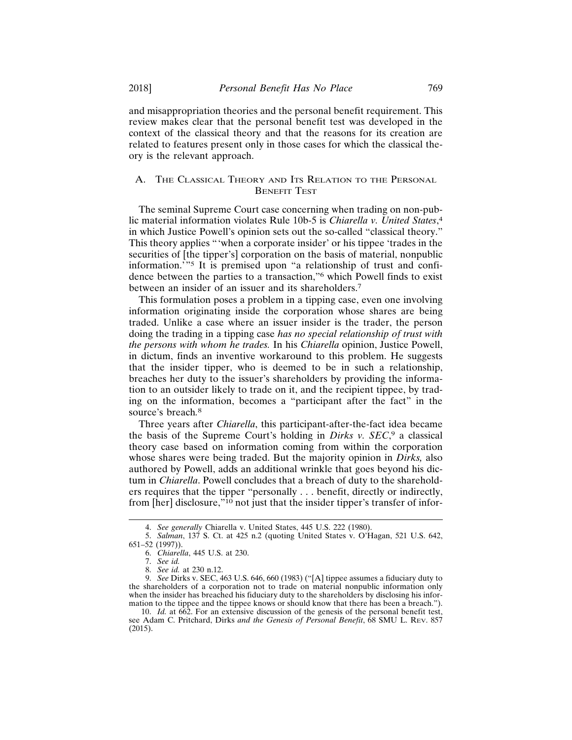and misappropriation theories and the personal benefit requirement. This review makes clear that the personal benefit test was developed in the context of the classical theory and that the reasons for its creation are related to features present only in those cases for which the classical theory is the relevant approach.

## A. THE CLASSICAL THEORY AND ITS RELATION TO THE PERSONAL **BENEFIT TEST**

The seminal Supreme Court case concerning when trading on non-public material information violates Rule 10b-5 is *Chiarella v. United States*, 4 in which Justice Powell's opinion sets out the so-called "classical theory." This theory applies "'when a corporate insider' or his tippee 'trades in the securities of [the tipper's] corporation on the basis of material, nonpublic information.'"5 It is premised upon "a relationship of trust and confidence between the parties to a transaction,"6 which Powell finds to exist between an insider of an issuer and its shareholders.<sup>7</sup>

This formulation poses a problem in a tipping case, even one involving information originating inside the corporation whose shares are being traded. Unlike a case where an issuer insider is the trader, the person doing the trading in a tipping case *has no special relationship of trust with the persons with whom he trades.* In his *Chiarella* opinion, Justice Powell, in dictum, finds an inventive workaround to this problem. He suggests that the insider tipper, who is deemed to be in such a relationship, breaches her duty to the issuer's shareholders by providing the information to an outsider likely to trade on it, and the recipient tippee, by trading on the information, becomes a "participant after the fact" in the source's breach*.* 8

Three years after *Chiarella*, this participant-after-the-fact idea became the basis of the Supreme Court's holding in *Dirks v. SEC*, <sup>9</sup> a classical theory case based on information coming from within the corporation whose shares were being traded. But the majority opinion in *Dirks,* also authored by Powell, adds an additional wrinkle that goes beyond his dictum in *Chiarella*. Powell concludes that a breach of duty to the shareholders requires that the tipper "personally . . . benefit, directly or indirectly, from [her] disclosure,"<sup>10</sup> not just that the insider tipper's transfer of infor-

<sup>4.</sup> *See generally* Chiarella v. United States, 445 U.S. 222 (1980).

<sup>5.</sup> *Salman*, 137 S. Ct. at 425 n.2 (quoting United States v. O'Hagan, 521 U.S. 642,

<sup>651–52 (1997)).</sup>

<sup>6.</sup> *Chiarella*, 445 U.S. at 230.

<sup>7.</sup> *See id.*

<sup>8.</sup> *See id.* at 230 n.12.

<sup>9.</sup> *See* Dirks v. SEC, 463 U.S. 646, 660 (1983) ("[A] tippee assumes a fiduciary duty to the shareholders of a corporation not to trade on material nonpublic information only when the insider has breached his fiduciary duty to the shareholders by disclosing his information to the tippee and the tippee knows or should know that there has been a breach.").

<sup>10.</sup> *Id.* at 662. For an extensive discussion of the genesis of the personal benefit test, see Adam C. Pritchard, Dirks *and the Genesis of Personal Benefit*, 68 SMU L. REV. 857 (2015).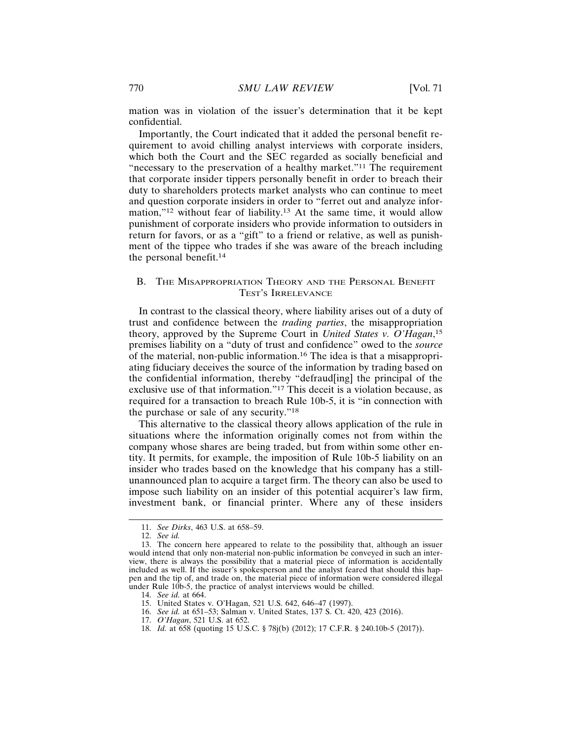mation was in violation of the issuer's determination that it be kept confidential.

Importantly, the Court indicated that it added the personal benefit requirement to avoid chilling analyst interviews with corporate insiders, which both the Court and the SEC regarded as socially beneficial and "necessary to the preservation of a healthy market."11 The requirement that corporate insider tippers personally benefit in order to breach their duty to shareholders protects market analysts who can continue to meet and question corporate insiders in order to "ferret out and analyze information,"12 without fear of liability.13 At the same time, it would allow punishment of corporate insiders who provide information to outsiders in return for favors, or as a "gift" to a friend or relative, as well as punishment of the tippee who trades if she was aware of the breach including the personal benefit.<sup>14</sup>

## B. THE MISAPPROPRIATION THEORY AND THE PERSONAL BENEFIT TEST'S IRRELEVANCE

In contrast to the classical theory, where liability arises out of a duty of trust and confidence between the *trading parties*, the misappropriation theory, approved by the Supreme Court in *United States v. O'Hagan*, 15 premises liability on a "duty of trust and confidence" owed to the *source* of the material, non-public information.16 The idea is that a misappropriating fiduciary deceives the source of the information by trading based on the confidential information, thereby "defraud[ing] the principal of the exclusive use of that information."17 This deceit is a violation because, as required for a transaction to breach Rule 10b-5, it is "in connection with the purchase or sale of any security."<sup>18</sup>

This alternative to the classical theory allows application of the rule in situations where the information originally comes not from within the company whose shares are being traded, but from within some other entity. It permits, for example, the imposition of Rule 10b-5 liability on an insider who trades based on the knowledge that his company has a stillunannounced plan to acquire a target firm. The theory can also be used to impose such liability on an insider of this potential acquirer's law firm, investment bank, or financial printer. Where any of these insiders

<sup>11.</sup> *See Dirks*, 463 U.S. at 658–59.

<sup>12.</sup> *See id.*

<sup>13.</sup> The concern here appeared to relate to the possibility that, although an issuer would intend that only non-material non-public information be conveyed in such an interview, there is always the possibility that a material piece of information is accidentally included as well. If the issuer's spokesperson and the analyst feared that should this happen and the tip of, and trade on, the material piece of information were considered illegal under Rule 10b-5, the practice of analyst interviews would be chilled.

<sup>14.</sup> *See id.* at 664.

<sup>15.</sup> United States v. O'Hagan, 521 U.S. 642, 646–47 (1997).

<sup>16.</sup> *See id.* at 651–53; Salman v. United States, 137 S. Ct. 420, 423 (2016).

<sup>17.</sup> *O'Hagan*, 521 U.S. at 652.

<sup>18.</sup> *Id.* at 658 (quoting 15 U.S.C. § 78j(b) (2012); 17 C.F.R. § 240.10b-5 (2017)).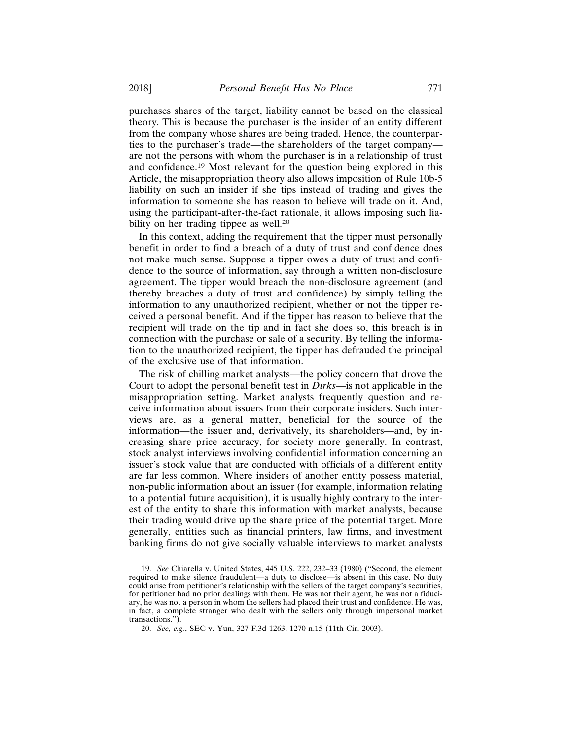purchases shares of the target, liability cannot be based on the classical theory. This is because the purchaser is the insider of an entity different from the company whose shares are being traded. Hence, the counterparties to the purchaser's trade—the shareholders of the target company are not the persons with whom the purchaser is in a relationship of trust and confidence.19 Most relevant for the question being explored in this Article, the misappropriation theory also allows imposition of Rule 10b-5 liability on such an insider if she tips instead of trading and gives the information to someone she has reason to believe will trade on it. And, using the participant-after-the-fact rationale, it allows imposing such liability on her trading tippee as well.<sup>20</sup>

In this context, adding the requirement that the tipper must personally benefit in order to find a breach of a duty of trust and confidence does not make much sense. Suppose a tipper owes a duty of trust and confidence to the source of information, say through a written non-disclosure agreement. The tipper would breach the non-disclosure agreement (and thereby breaches a duty of trust and confidence) by simply telling the information to any unauthorized recipient, whether or not the tipper received a personal benefit. And if the tipper has reason to believe that the recipient will trade on the tip and in fact she does so, this breach is in connection with the purchase or sale of a security. By telling the information to the unauthorized recipient, the tipper has defrauded the principal of the exclusive use of that information.

The risk of chilling market analysts—the policy concern that drove the Court to adopt the personal benefit test in *Dirks*—is not applicable in the misappropriation setting. Market analysts frequently question and receive information about issuers from their corporate insiders. Such interviews are, as a general matter, beneficial for the source of the information—the issuer and, derivatively, its shareholders—and, by increasing share price accuracy, for society more generally. In contrast, stock analyst interviews involving confidential information concerning an issuer's stock value that are conducted with officials of a different entity are far less common. Where insiders of another entity possess material, non-public information about an issuer (for example, information relating to a potential future acquisition), it is usually highly contrary to the interest of the entity to share this information with market analysts, because their trading would drive up the share price of the potential target. More generally, entities such as financial printers, law firms, and investment banking firms do not give socially valuable interviews to market analysts

<sup>19.</sup> *See* Chiarella v. United States, 445 U.S. 222, 232–33 (1980) ("Second, the element required to make silence fraudulent—a duty to disclose—is absent in this case. No duty could arise from petitioner's relationship with the sellers of the target company's securities, for petitioner had no prior dealings with them. He was not their agent, he was not a fiduciary, he was not a person in whom the sellers had placed their trust and confidence. He was, in fact, a complete stranger who dealt with the sellers only through impersonal market transactions.").

<sup>20.</sup> *See, e.g.*, SEC v. Yun, 327 F.3d 1263, 1270 n.15 (11th Cir. 2003).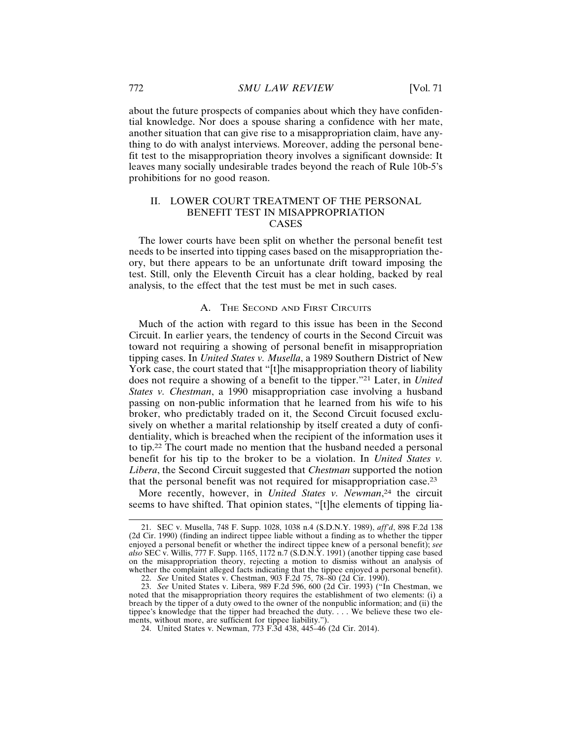about the future prospects of companies about which they have confidential knowledge. Nor does a spouse sharing a confidence with her mate, another situation that can give rise to a misappropriation claim, have anything to do with analyst interviews. Moreover, adding the personal benefit test to the misappropriation theory involves a significant downside: It leaves many socially undesirable trades beyond the reach of Rule 10b-5's prohibitions for no good reason.

## II. LOWER COURT TREATMENT OF THE PERSONAL BENEFIT TEST IN MISAPPROPRIATION CASES

The lower courts have been split on whether the personal benefit test needs to be inserted into tipping cases based on the misappropriation theory, but there appears to be an unfortunate drift toward imposing the test. Still, only the Eleventh Circuit has a clear holding, backed by real analysis, to the effect that the test must be met in such cases.

#### A. THE SECOND AND FIRST CIRCUITS

Much of the action with regard to this issue has been in the Second Circuit. In earlier years, the tendency of courts in the Second Circuit was toward not requiring a showing of personal benefit in misappropriation tipping cases. In *United States v. Musella*, a 1989 Southern District of New York case, the court stated that "[t]he misappropriation theory of liability does not require a showing of a benefit to the tipper."21 Later, in *United States v. Chestman*, a 1990 misappropriation case involving a husband passing on non-public information that he learned from his wife to his broker, who predictably traded on it, the Second Circuit focused exclusively on whether a marital relationship by itself created a duty of confidentiality, which is breached when the recipient of the information uses it to tip.22 The court made no mention that the husband needed a personal benefit for his tip to the broker to be a violation. In *United States v. Libera*, the Second Circuit suggested that *Chestman* supported the notion that the personal benefit was not required for misappropriation case.<sup>23</sup>

More recently, however, in *United States v. Newman*, 24 the circuit seems to have shifted. That opinion states, "[t]he elements of tipping lia-

<sup>21.</sup> SEC v. Musella, 748 F. Supp. 1028, 1038 n.4 (S.D.N.Y. 1989), *aff'd*, 898 F.2d 138 (2d Cir. 1990) (finding an indirect tippee liable without a finding as to whether the tipper enjoyed a personal benefit or whether the indirect tippee knew of a personal benefit); *see also* SEC v. Willis, 777 F. Supp. 1165, 1172 n.7 (S.D.N.Y. 1991) (another tipping case based on the misappropriation theory, rejecting a motion to dismiss without an analysis of whether the complaint alleged facts indicating that the tippee enjoyed a personal benefit).

<sup>22.</sup> *See* United States v. Chestman, 903 F.2d 75, 78–80 (2d Cir. 1990).

<sup>23.</sup> *See* United States v. Libera, 989 F.2d 596, 600 (2d Cir. 1993) ("In Chestman, we noted that the misappropriation theory requires the establishment of two elements: (i) a breach by the tipper of a duty owed to the owner of the nonpublic information; and (ii) the tippee's knowledge that the tipper had breached the duty... We believe these two elements, without more, are sufficient for tippee liability.").

<sup>24.</sup> United States v. Newman, 773 F.3d 438, 445–46 (2d Cir. 2014).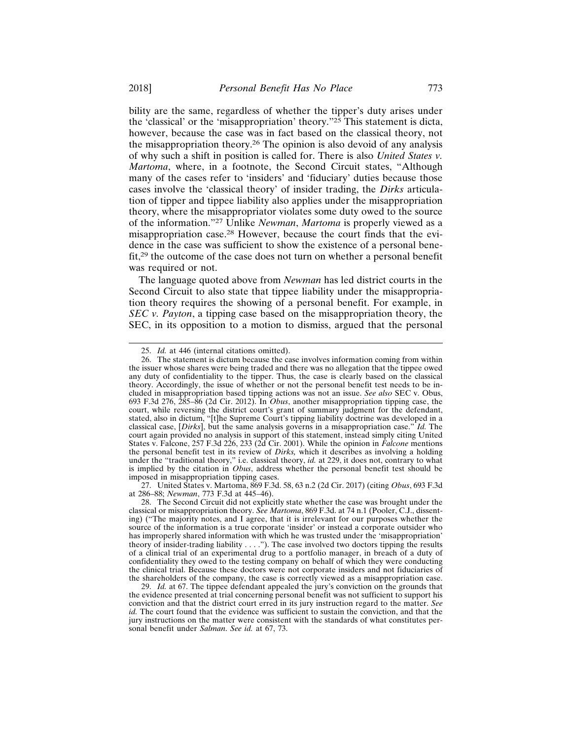bility are the same, regardless of whether the tipper's duty arises under the 'classical' or the 'misappropriation' theory."25 This statement is dicta, however, because the case was in fact based on the classical theory, not the misappropriation theory.26 The opinion is also devoid of any analysis of why such a shift in position is called for. There is also *United States v. Martoma*, where, in a footnote, the Second Circuit states, "Although many of the cases refer to 'insiders' and 'fiduciary' duties because those cases involve the 'classical theory' of insider trading, the *Dirks* articulation of tipper and tippee liability also applies under the misappropriation theory, where the misappropriator violates some duty owed to the source of the information."27 Unlike *Newman*, *Martoma* is properly viewed as a misappropriation case.28 However, because the court finds that the evidence in the case was sufficient to show the existence of a personal benefit,29 the outcome of the case does not turn on whether a personal benefit was required or not.

The language quoted above from *Newman* has led district courts in the Second Circuit to also state that tippee liability under the misappropriation theory requires the showing of a personal benefit. For example, in *SEC v. Payton*, a tipping case based on the misappropriation theory, the SEC, in its opposition to a motion to dismiss, argued that the personal

<sup>25.</sup> *Id.* at 446 (internal citations omitted).

<sup>26.</sup> The statement is dictum because the case involves information coming from within the issuer whose shares were being traded and there was no allegation that the tippee owed any duty of confidentiality to the tipper. Thus, the case is clearly based on the classical theory. Accordingly, the issue of whether or not the personal benefit test needs to be included in misappropriation based tipping actions was not an issue. *See also* SEC v. Obus, 693 F.3d 276, 285–86 (2d Cir. 2012). In *Obus*, another misappropriation tipping case, the court, while reversing the district court's grant of summary judgment for the defendant, stated, also in dictum, "[t]he Supreme Court's tipping liability doctrine was developed in a classical case, [*Dirks*], but the same analysis governs in a misappropriation case." *Id.* The court again provided no analysis in support of this statement, instead simply citing United States v. Falcone, 257 F.3d 226, 233 (2d Cir. 2001). While the opinion in *Falcone* mentions the personal benefit test in its review of *Dirks,* which it describes as involving a holding under the "traditional theory," i.e. classical theory, *id.* at 229, it does not, contrary to what is implied by the citation in *Obus*, address whether the personal benefit test should be imposed in misappropriation tipping cases.

<sup>27.</sup> United States v. Martoma, 869 F.3d. 58, 63 n.2 (2d Cir. 2017) (citing *Obus*, 693 F.3d at 286–88; *Newman*, 773 F.3d at 445–46).

<sup>28.</sup> The Second Circuit did not explicitly state whether the case was brought under the classical or misappropriation theory. *See Martoma*, 869 F.3d. at 74 n.1 (Pooler, C.J., dissenting) ("The majority notes, and I agree, that it is irrelevant for our purposes whether the source of the information is a true corporate 'insider' or instead a corporate outsider who has improperly shared information with which he was trusted under the 'misappropriation' theory of insider-trading liability . . . ."). The case involved two doctors tipping the results of a clinical trial of an experimental drug to a portfolio manager, in breach of a duty of confidentiality they owed to the testing company on behalf of which they were conducting the clinical trial. Because these doctors were not corporate insiders and not fiduciaries of the shareholders of the company, the case is correctly viewed as a misappropriation case.

<sup>29.</sup> *Id.* at 67. The tippee defendant appealed the jury's conviction on the grounds that the evidence presented at trial concerning personal benefit was not sufficient to support his conviction and that the district court erred in its jury instruction regard to the matter. *See id.* The court found that the evidence was sufficient to sustain the conviction, and that the jury instructions on the matter were consistent with the standards of what constitutes personal benefit under *Salman*. *See id.* at 67, 73.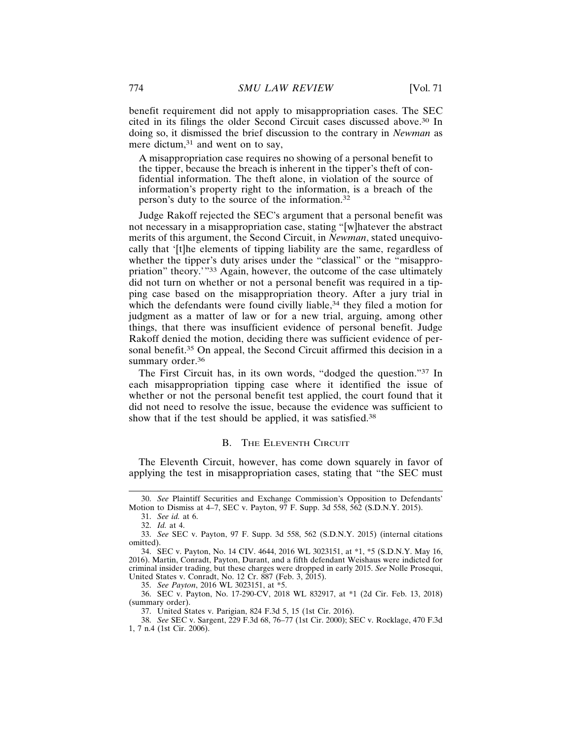benefit requirement did not apply to misappropriation cases. The SEC cited in its filings the older Second Circuit cases discussed above.30 In doing so, it dismissed the brief discussion to the contrary in *Newman* as mere dictum,<sup>31</sup> and went on to say,

A misappropriation case requires no showing of a personal benefit to the tipper, because the breach is inherent in the tipper's theft of confidential information. The theft alone, in violation of the source of information's property right to the information, is a breach of the person's duty to the source of the information.<sup>32</sup>

Judge Rakoff rejected the SEC's argument that a personal benefit was not necessary in a misappropriation case, stating "[w]hatever the abstract merits of this argument, the Second Circuit, in *Newman*, stated unequivocally that '[t]he elements of tipping liability are the same, regardless of whether the tipper's duty arises under the "classical" or the "misappropriation" theory.'"33 Again, however, the outcome of the case ultimately did not turn on whether or not a personal benefit was required in a tipping case based on the misappropriation theory. After a jury trial in which the defendants were found civilly liable,<sup>34</sup> they filed a motion for judgment as a matter of law or for a new trial, arguing, among other things, that there was insufficient evidence of personal benefit. Judge Rakoff denied the motion, deciding there was sufficient evidence of personal benefit.<sup>35</sup> On appeal, the Second Circuit affirmed this decision in a summary order.<sup>36</sup>

The First Circuit has, in its own words, "dodged the question."37 In each misappropriation tipping case where it identified the issue of whether or not the personal benefit test applied, the court found that it did not need to resolve the issue, because the evidence was sufficient to show that if the test should be applied, it was satisfied.<sup>38</sup>

#### B. THE ELEVENTH CIRCUIT

The Eleventh Circuit, however, has come down squarely in favor of applying the test in misappropriation cases, stating that "the SEC must

35. *See Payton*, 2016 WL 3023151, at \*5.

36. SEC v. Payton, No. 17-290-CV, 2018 WL 832917, at \*1 (2d Cir. Feb. 13, 2018) (summary order).

37. United States v. Parigian, 824 F.3d 5, 15 (1st Cir. 2016).

<sup>30.</sup> *See* Plaintiff Securities and Exchange Commission's Opposition to Defendants' Motion to Dismiss at 4–7, SEC v. Payton, 97 F. Supp. 3d 558, 562 (S.D.N.Y. 2015).

<sup>31.</sup> *See id.* at 6.

<sup>32.</sup> *Id.* at 4.

<sup>33.</sup> *See* SEC v. Payton, 97 F. Supp. 3d 558, 562 (S.D.N.Y. 2015) (internal citations omitted).

<sup>34.</sup> SEC v. Payton, No. 14 CIV. 4644, 2016 WL 3023151, at \*1, \*5 (S.D.N.Y. May 16, 2016). Martin, Conradt, Payton, Durant, and a fifth defendant Weishaus were indicted for criminal insider trading, but these charges were dropped in early 2015. *See* Nolle Prosequi, United States v. Conradt, No. 12 Cr. 887 (Feb. 3, 2015).

<sup>38.</sup> *See* SEC v. Sargent, 229 F.3d 68, 76–77 (1st Cir. 2000); SEC v. Rocklage, 470 F.3d 1, 7 n.4 (1st Cir. 2006).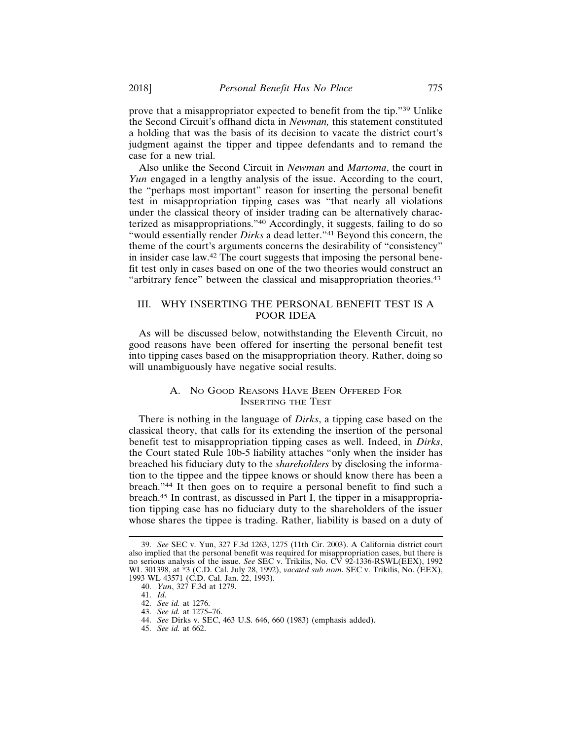prove that a misappropriator expected to benefit from the tip."39 Unlike the Second Circuit's offhand dicta in *Newman,* this statement constituted a holding that was the basis of its decision to vacate the district court's judgment against the tipper and tippee defendants and to remand the case for a new trial.

Also unlike the Second Circuit in *Newman* and *Martoma*, the court in *Yun* engaged in a lengthy analysis of the issue. According to the court, the "perhaps most important" reason for inserting the personal benefit test in misappropriation tipping cases was "that nearly all violations under the classical theory of insider trading can be alternatively characterized as misappropriations."40 Accordingly, it suggests, failing to do so "would essentially render *Dirks* a dead letter."<sup>41</sup> Beyond this concern, the theme of the court's arguments concerns the desirability of "consistency" in insider case law.42 The court suggests that imposing the personal benefit test only in cases based on one of the two theories would construct an "arbitrary fence" between the classical and misappropriation theories.<sup>43</sup>

## III. WHY INSERTING THE PERSONAL BENEFIT TEST IS A POOR IDEA

As will be discussed below, notwithstanding the Eleventh Circuit, no good reasons have been offered for inserting the personal benefit test into tipping cases based on the misappropriation theory. Rather, doing so will unambiguously have negative social results.

## A. NO GOOD REASONS HAVE BEEN OFFERED FOR INSERTING THE TEST

There is nothing in the language of *Dirks*, a tipping case based on the classical theory, that calls for its extending the insertion of the personal benefit test to misappropriation tipping cases as well. Indeed, in *Dirks*, the Court stated Rule 10b-5 liability attaches "only when the insider has breached his fiduciary duty to the *shareholders* by disclosing the information to the tippee and the tippee knows or should know there has been a breach."44 It then goes on to require a personal benefit to find such a breach.45 In contrast, as discussed in Part I, the tipper in a misappropriation tipping case has no fiduciary duty to the shareholders of the issuer whose shares the tippee is trading. Rather, liability is based on a duty of

<sup>39.</sup> *See* SEC v. Yun, 327 F.3d 1263, 1275 (11th Cir. 2003). A California district court also implied that the personal benefit was required for misappropriation cases, but there is no serious analysis of the issue. *See* SEC v. Trikilis, No. CV 92-1336-RSWL(EEX), 1992 WL 301398, at \*3 (C.D. Cal. July 28, 1992), *vacated sub nom*. SEC v. Trikilis, No. (EEX), 1993 WL 43571 (C.D. Cal. Jan. 22, 1993).

<sup>40.</sup> *Yun*, 327 F.3d at 1279.

<sup>41.</sup> *Id.*

<sup>42.</sup> *See id.* at 1276.

<sup>43.</sup> *See id.* at 1275–76.

<sup>44.</sup> *See* Dirks v. SEC, 463 U.S. 646, 660 (1983) (emphasis added).

<sup>45.</sup> *See id.* at 662.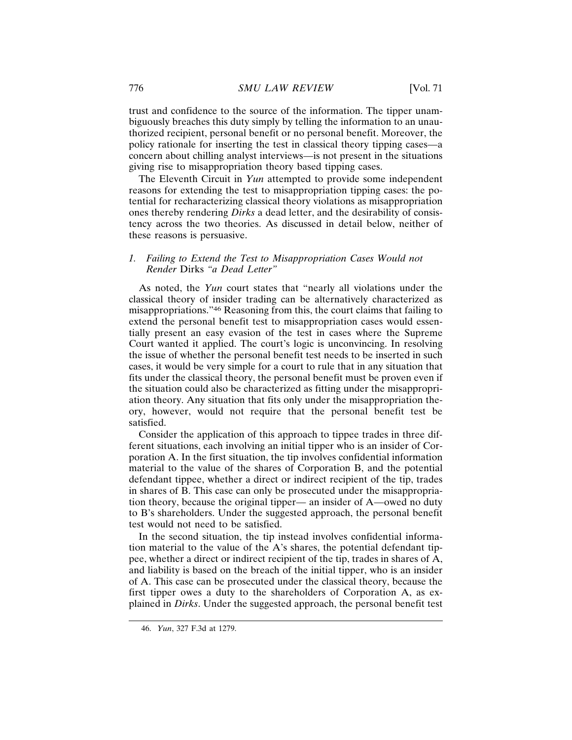trust and confidence to the source of the information. The tipper unambiguously breaches this duty simply by telling the information to an unauthorized recipient, personal benefit or no personal benefit. Moreover, the policy rationale for inserting the test in classical theory tipping cases—a concern about chilling analyst interviews—is not present in the situations giving rise to misappropriation theory based tipping cases.

The Eleventh Circuit in *Yun* attempted to provide some independent reasons for extending the test to misappropriation tipping cases: the potential for recharacterizing classical theory violations as misappropriation ones thereby rendering *Dirks* a dead letter, and the desirability of consistency across the two theories. As discussed in detail below, neither of these reasons is persuasive.

## *1. Failing to Extend the Test to Misappropriation Cases Would not Render* Dirks *"a Dead Letter"*

As noted, the *Yun* court states that "nearly all violations under the classical theory of insider trading can be alternatively characterized as misappropriations."46 Reasoning from this, the court claims that failing to extend the personal benefit test to misappropriation cases would essentially present an easy evasion of the test in cases where the Supreme Court wanted it applied. The court's logic is unconvincing. In resolving the issue of whether the personal benefit test needs to be inserted in such cases, it would be very simple for a court to rule that in any situation that fits under the classical theory, the personal benefit must be proven even if the situation could also be characterized as fitting under the misappropriation theory. Any situation that fits only under the misappropriation theory, however, would not require that the personal benefit test be satisfied.

Consider the application of this approach to tippee trades in three different situations, each involving an initial tipper who is an insider of Corporation A. In the first situation, the tip involves confidential information material to the value of the shares of Corporation B, and the potential defendant tippee, whether a direct or indirect recipient of the tip, trades in shares of B. This case can only be prosecuted under the misappropriation theory, because the original tipper— an insider of A—owed no duty to B's shareholders. Under the suggested approach, the personal benefit test would not need to be satisfied.

In the second situation, the tip instead involves confidential information material to the value of the A's shares, the potential defendant tippee, whether a direct or indirect recipient of the tip, trades in shares of A, and liability is based on the breach of the initial tipper, who is an insider of A. This case can be prosecuted under the classical theory, because the first tipper owes a duty to the shareholders of Corporation A, as explained in *Dirks*. Under the suggested approach, the personal benefit test

<sup>46.</sup> *Yun*, 327 F.3d at 1279.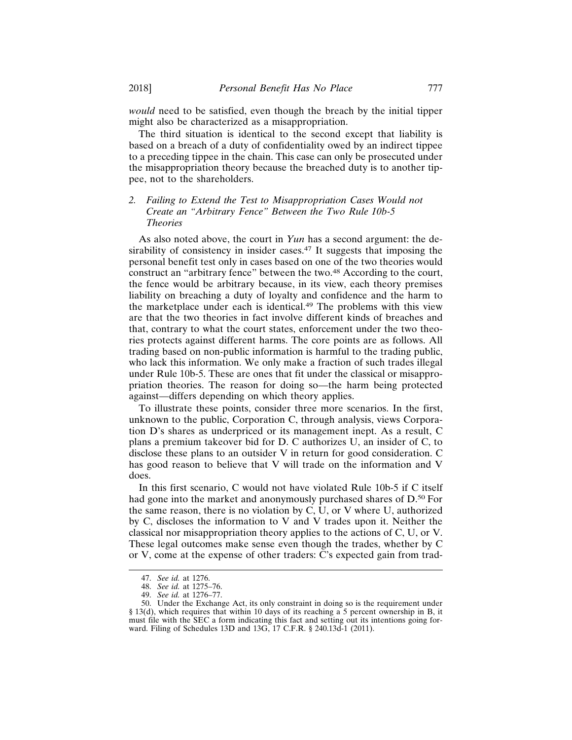*would* need to be satisfied, even though the breach by the initial tipper might also be characterized as a misappropriation.

The third situation is identical to the second except that liability is based on a breach of a duty of confidentiality owed by an indirect tippee to a preceding tippee in the chain. This case can only be prosecuted under the misappropriation theory because the breached duty is to another tippee, not to the shareholders.

## *2. Failing to Extend the Test to Misappropriation Cases Would not Create an "Arbitrary Fence" Between the Two Rule 10b-5 Theories*

As also noted above, the court in *Yun* has a second argument: the desirability of consistency in insider cases.<sup>47</sup> It suggests that imposing the personal benefit test only in cases based on one of the two theories would construct an "arbitrary fence" between the two.<sup>48</sup> According to the court, the fence would be arbitrary because, in its view, each theory premises liability on breaching a duty of loyalty and confidence and the harm to the marketplace under each is identical.49 The problems with this view are that the two theories in fact involve different kinds of breaches and that, contrary to what the court states, enforcement under the two theories protects against different harms. The core points are as follows. All trading based on non-public information is harmful to the trading public, who lack this information. We only make a fraction of such trades illegal under Rule 10b-5. These are ones that fit under the classical or misappropriation theories. The reason for doing so—the harm being protected against—differs depending on which theory applies.

To illustrate these points, consider three more scenarios. In the first, unknown to the public, Corporation C, through analysis, views Corporation D's shares as underpriced or its management inept. As a result, C plans a premium takeover bid for D. C authorizes U, an insider of C, to disclose these plans to an outsider V in return for good consideration. C has good reason to believe that V will trade on the information and V does.

In this first scenario, C would not have violated Rule 10b-5 if C itself had gone into the market and anonymously purchased shares of D.<sup>50</sup> For the same reason, there is no violation by C, U, or V where U, authorized by C, discloses the information to V and V trades upon it. Neither the classical nor misappropriation theory applies to the actions of C, U, or V. These legal outcomes make sense even though the trades, whether by C or V, come at the expense of other traders: C's expected gain from trad-

<sup>47.</sup> *See id.* at 1276.

<sup>48.</sup> *See id.* at 1275–76.

<sup>49.</sup> *See id.* at 1276–77.

<sup>50.</sup> Under the Exchange Act, its only constraint in doing so is the requirement under § 13(d), which requires that within 10 days of its reaching a 5 percent ownership in B, it must file with the SEC a form indicating this fact and setting out its intentions going forward. Filing of Schedules 13D and 13G, 17 C.F.R. § 240.13d-1 (2011).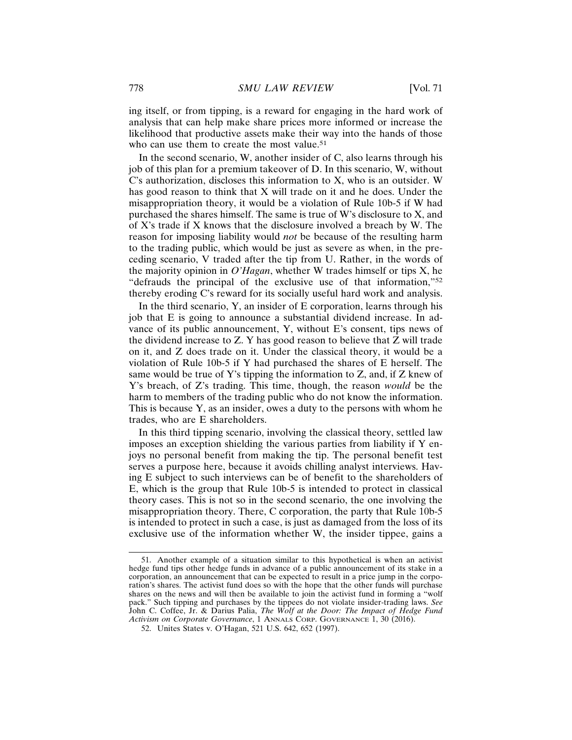ing itself, or from tipping, is a reward for engaging in the hard work of analysis that can help make share prices more informed or increase the likelihood that productive assets make their way into the hands of those who can use them to create the most value.<sup>51</sup>

In the second scenario, W, another insider of C, also learns through his job of this plan for a premium takeover of D. In this scenario, W, without C's authorization, discloses this information to X, who is an outsider. W has good reason to think that X will trade on it and he does. Under the misappropriation theory, it would be a violation of Rule 10b-5 if W had purchased the shares himself. The same is true of W's disclosure to X, and of X's trade if X knows that the disclosure involved a breach by W. The reason for imposing liability would *not* be because of the resulting harm to the trading public, which would be just as severe as when, in the preceding scenario, V traded after the tip from U. Rather, in the words of the majority opinion in *O'Hagan*, whether W trades himself or tips X, he "defrauds the principal of the exclusive use of that information,"<sup>52</sup> thereby eroding C's reward for its socially useful hard work and analysis.

In the third scenario, Y, an insider of E corporation, learns through his job that E is going to announce a substantial dividend increase. In advance of its public announcement, Y, without E's consent, tips news of the dividend increase to Z. Y has good reason to believe that Z will trade on it, and Z does trade on it. Under the classical theory, it would be a violation of Rule 10b-5 if Y had purchased the shares of E herself. The same would be true of Y's tipping the information to Z, and, if Z knew of Y's breach, of Z's trading. This time, though, the reason *would* be the harm to members of the trading public who do not know the information. This is because Y, as an insider, owes a duty to the persons with whom he trades, who are E shareholders.

In this third tipping scenario, involving the classical theory, settled law imposes an exception shielding the various parties from liability if Y enjoys no personal benefit from making the tip. The personal benefit test serves a purpose here, because it avoids chilling analyst interviews. Having E subject to such interviews can be of benefit to the shareholders of E, which is the group that Rule 10b-5 is intended to protect in classical theory cases. This is not so in the second scenario, the one involving the misappropriation theory. There, C corporation, the party that Rule 10b-5 is intended to protect in such a case, is just as damaged from the loss of its exclusive use of the information whether W, the insider tippee, gains a

<sup>51.</sup> Another example of a situation similar to this hypothetical is when an activist hedge fund tips other hedge funds in advance of a public announcement of its stake in a corporation, an announcement that can be expected to result in a price jump in the corporation's shares. The activist fund does so with the hope that the other funds will purchase shares on the news and will then be available to join the activist fund in forming a "wolf pack." Such tipping and purchases by the tippees do not violate insider-trading laws. *See* John C. Coffee, Jr. & Darius Palia, *The Wolf at the Door: The Impact of Hedge Fund Activism on Corporate Governance*, 1 ANNALS CORP. GOVERNANCE 1, 30 (2016).

<sup>52.</sup> Unites States v. O'Hagan, 521 U.S. 642, 652 (1997).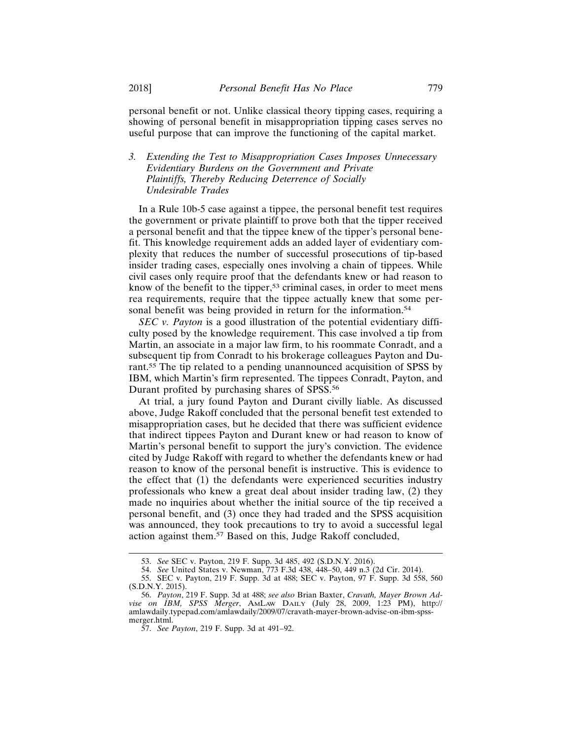personal benefit or not. Unlike classical theory tipping cases, requiring a showing of personal benefit in misappropriation tipping cases serves no useful purpose that can improve the functioning of the capital market.

## *3. Extending the Test to Misappropriation Cases Imposes Unnecessary Evidentiary Burdens on the Government and Private Plaintiffs, Thereby Reducing Deterrence of Socially Undesirable Trades*

In a Rule 10b-5 case against a tippee, the personal benefit test requires the government or private plaintiff to prove both that the tipper received a personal benefit and that the tippee knew of the tipper's personal benefit. This knowledge requirement adds an added layer of evidentiary complexity that reduces the number of successful prosecutions of tip-based insider trading cases, especially ones involving a chain of tippees. While civil cases only require proof that the defendants knew or had reason to know of the benefit to the tipper,<sup>53</sup> criminal cases, in order to meet mens rea requirements, require that the tippee actually knew that some personal benefit was being provided in return for the information.<sup>54</sup>

*SEC v. Payton* is a good illustration of the potential evidentiary difficulty posed by the knowledge requirement. This case involved a tip from Martin, an associate in a major law firm, to his roommate Conradt, and a subsequent tip from Conradt to his brokerage colleagues Payton and Durant.55 The tip related to a pending unannounced acquisition of SPSS by IBM, which Martin's firm represented. The tippees Conradt, Payton, and Durant profited by purchasing shares of SPSS.<sup>56</sup>

At trial, a jury found Payton and Durant civilly liable. As discussed above, Judge Rakoff concluded that the personal benefit test extended to misappropriation cases, but he decided that there was sufficient evidence that indirect tippees Payton and Durant knew or had reason to know of Martin's personal benefit to support the jury's conviction. The evidence cited by Judge Rakoff with regard to whether the defendants knew or had reason to know of the personal benefit is instructive. This is evidence to the effect that (1) the defendants were experienced securities industry professionals who knew a great deal about insider trading law, (2) they made no inquiries about whether the initial source of the tip received a personal benefit, and (3) once they had traded and the SPSS acquisition was announced, they took precautions to try to avoid a successful legal action against them.57 Based on this, Judge Rakoff concluded,

<sup>53.</sup> *See* SEC v. Payton, 219 F. Supp. 3d 485, 492 (S.D.N.Y. 2016).

<sup>54.</sup> *See* United States v. Newman, 773 F.3d 438, 448–50, 449 n.3 (2d Cir. 2014).

<sup>55.</sup> SEC v. Payton, 219 F. Supp. 3d at 488; SEC v. Payton, 97 F. Supp. 3d 558, 560 (S.D.N.Y. 2015).

<sup>56.</sup> *Payton*, 219 F. Supp. 3d at 488; *see also* Brian Baxter, *Cravath, Mayer Brown Advise on IBM, SPSS Merger*, AMLAW DAILY (July 28, 2009, 1:23 PM), http:// amlawdaily.typepad.com/amlawdaily/2009/07/cravath-mayer-brown-advise-on-ibm-spssmerger.html.

<sup>57.</sup> *See Payton*, 219 F. Supp. 3d at 491–92.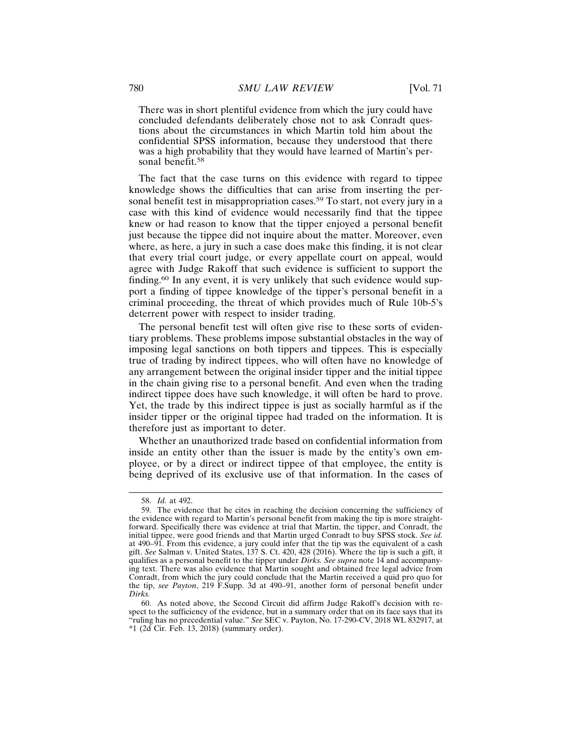There was in short plentiful evidence from which the jury could have concluded defendants deliberately chose not to ask Conradt questions about the circumstances in which Martin told him about the confidential SPSS information, because they understood that there was a high probability that they would have learned of Martin's personal benefit.<sup>58</sup>

The fact that the case turns on this evidence with regard to tippee knowledge shows the difficulties that can arise from inserting the personal benefit test in misappropriation cases.<sup>59</sup> To start, not every jury in a case with this kind of evidence would necessarily find that the tippee knew or had reason to know that the tipper enjoyed a personal benefit just because the tippee did not inquire about the matter. Moreover, even where, as here, a jury in such a case does make this finding, it is not clear that every trial court judge, or every appellate court on appeal, would agree with Judge Rakoff that such evidence is sufficient to support the finding.60 In any event, it is very unlikely that such evidence would support a finding of tippee knowledge of the tipper's personal benefit in a criminal proceeding, the threat of which provides much of Rule 10b-5's deterrent power with respect to insider trading.

The personal benefit test will often give rise to these sorts of evidentiary problems. These problems impose substantial obstacles in the way of imposing legal sanctions on both tippers and tippees. This is especially true of trading by indirect tippees, who will often have no knowledge of any arrangement between the original insider tipper and the initial tippee in the chain giving rise to a personal benefit. And even when the trading indirect tippee does have such knowledge, it will often be hard to prove. Yet, the trade by this indirect tippee is just as socially harmful as if the insider tipper or the original tippee had traded on the information. It is therefore just as important to deter.

Whether an unauthorized trade based on confidential information from inside an entity other than the issuer is made by the entity's own employee, or by a direct or indirect tippee of that employee, the entity is being deprived of its exclusive use of that information. In the cases of

<sup>58.</sup> *Id.* at 492.

<sup>59.</sup> The evidence that he cites in reaching the decision concerning the sufficiency of the evidence with regard to Martin's personal benefit from making the tip is more straightforward. Specifically there was evidence at trial that Martin, the tipper, and Conradt, the initial tippee, were good friends and that Martin urged Conradt to buy SPSS stock. *See id.* at 490–91. From this evidence, a jury could infer that the tip was the equivalent of a cash gift. *See* Salman v. United States, 137 S. Ct. 420, 428 (2016). Where the tip is such a gift, it qualifies as a personal benefit to the tipper under *Dirks. See supra* note 14 and accompanying text. There was also evidence that Martin sought and obtained free legal advice from Conradt, from which the jury could conclude that the Martin received a quid pro quo for the tip, *see Payton*, 219 F.Supp. 3d at 490–91, another form of personal benefit under *Dirks.*

<sup>60.</sup> As noted above, the Second Circuit did affirm Judge Rakoff's decision with respect to the sufficiency of the evidence, but in a summary order that on its face says that its "ruling has no precedential value." *See* SEC v. Payton, No. 17-290-CV, 2018 WL 832917, at  $*1$  (2d Cir. Feb. 13, 2018) (summary order).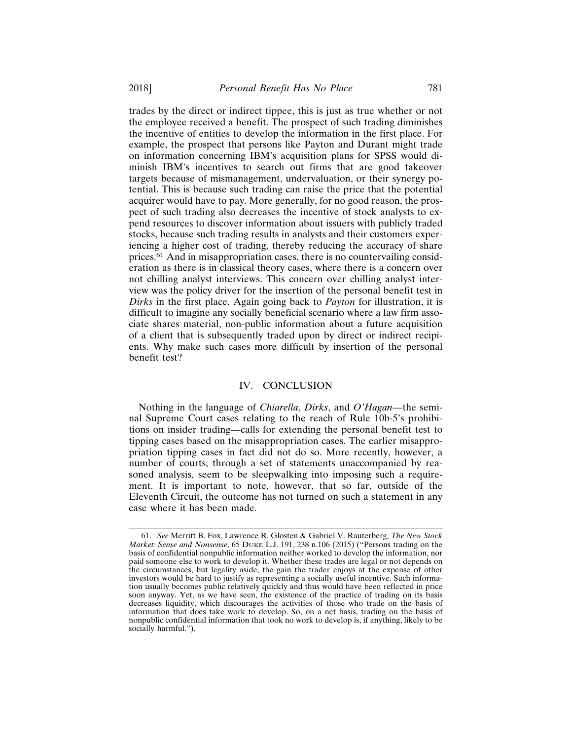trades by the direct or indirect tippee, this is just as true whether or not the employee received a benefit. The prospect of such trading diminishes the incentive of entities to develop the information in the first place. For example, the prospect that persons like Payton and Durant might trade on information concerning IBM's acquisition plans for SPSS would diminish IBM's incentives to search out firms that are good takeover targets because of mismanagement, undervaluation, or their synergy potential. This is because such trading can raise the price that the potential acquirer would have to pay. More generally, for no good reason, the prospect of such trading also decreases the incentive of stock analysts to expend resources to discover information about issuers with publicly traded stocks, because such trading results in analysts and their customers experiencing a higher cost of trading, thereby reducing the accuracy of share prices.61 And in misappropriation cases, there is no countervailing consideration as there is in classical theory cases, where there is a concern over not chilling analyst interviews. This concern over chilling analyst interview was the policy driver for the insertion of the personal benefit test in *Dirks* in the first place. Again going back to *Payton* for illustration, it is difficult to imagine any socially beneficial scenario where a law firm associate shares material, non-public information about a future acquisition of a client that is subsequently traded upon by direct or indirect recipients. Why make such cases more difficult by insertion of the personal benefit test?

## IV. CONCLUSION

Nothing in the language of *Chiarella*, *Dirks*, and *O'Hagan*—the seminal Supreme Court cases relating to the reach of Rule 10b-5's prohibitions on insider trading*—*calls for extending the personal benefit test to tipping cases based on the misappropriation cases. The earlier misappropriation tipping cases in fact did not do so. More recently, however, a number of courts, through a set of statements unaccompanied by reasoned analysis, seem to be sleepwalking into imposing such a requirement. It is important to note, however, that so far, outside of the Eleventh Circuit, the outcome has not turned on such a statement in any case where it has been made.

<sup>61.</sup> *See* Merritt B. Fox, Lawrence R. Glosten & Gabriel V. Rauterberg, *The New Stock Market: Sense and Nonsense*, 65 DUKE L.J. 191, 238 n.106 (2015) ("Persons trading on the basis of confidential nonpublic information neither worked to develop the information, nor paid someone else to work to develop it. Whether these trades are legal or not depends on the circumstances, but legality aside, the gain the trader enjoys at the expense of other investors would be hard to justify as representing a socially useful incentive. Such information usually becomes public relatively quickly and thus would have been reflected in price soon anyway. Yet, as we have seen, the existence of the practice of trading on its basis decreases liquidity, which discourages the activities of those who trade on the basis of information that does take work to develop. So, on a net basis, trading on the basis of nonpublic confidential information that took no work to develop is, if anything, likely to be socially harmful.").